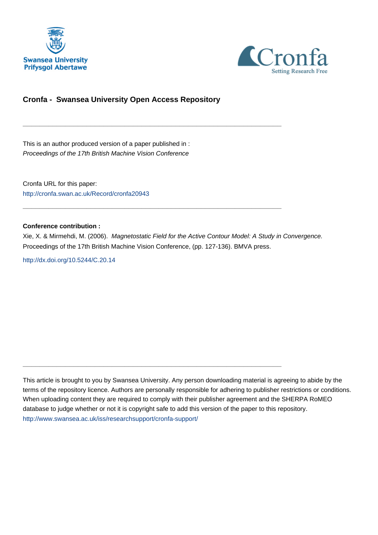



# **Cronfa - Swansea University Open Access Repository**

\_\_\_\_\_\_\_\_\_\_\_\_\_\_\_\_\_\_\_\_\_\_\_\_\_\_\_\_\_\_\_\_\_\_\_\_\_\_\_\_\_\_\_\_\_\_\_\_\_\_\_\_\_\_\_\_\_\_\_\_\_

 $\_$  , and the set of the set of the set of the set of the set of the set of the set of the set of the set of the set of the set of the set of the set of the set of the set of the set of the set of the set of the set of th

 $\_$  , and the set of the set of the set of the set of the set of the set of the set of the set of the set of the set of the set of the set of the set of the set of the set of the set of the set of the set of the set of th

This is an author produced version of a paper published in : Proceedings of the 17th British Machine Vision Conference

Cronfa URL for this paper: <http://cronfa.swan.ac.uk/Record/cronfa20943>

#### **Conference contribution :**

Xie, X. & Mirmehdi, M. (2006). Magnetostatic Field for the Active Contour Model: A Study in Convergence. Proceedings of the 17th British Machine Vision Conference, (pp. 127-136). BMVA press.

<http://dx.doi.org/10.5244/C.20.14>

This article is brought to you by Swansea University. Any person downloading material is agreeing to abide by the terms of the repository licence. Authors are personally responsible for adhering to publisher restrictions or conditions. When uploading content they are required to comply with their publisher agreement and the SHERPA RoMEO database to judge whether or not it is copyright safe to add this version of the paper to this repository. [http://www.swansea.ac.uk/iss/researchsupport/cronfa-support/](http://www.swansea.ac.uk/iss/researchsupport/cronfa-support/ )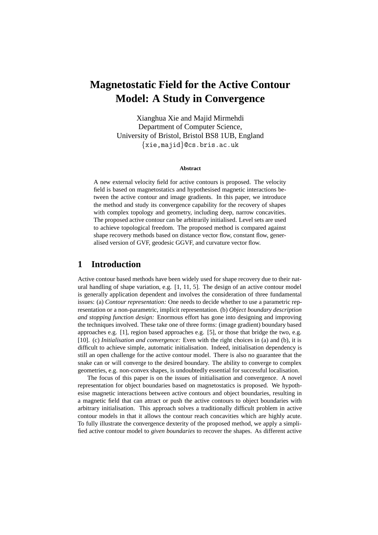# **Magnetostatic Field for the Active Contour Model: A Study in Convergence**

Xianghua Xie and Majid Mirmehdi Department of Computer Science, University of Bristol, Bristol BS8 1UB, England {xie,majid}@cs.bris.ac.uk

#### **Abstract**

A new external velocity field for active contours is proposed. The velocity field is based on magnetostatics and hypothesised magnetic interactions between the active contour and image gradients. In this paper, we introduce the method and study its convergence capability for the recovery of shapes with complex topology and geometry, including deep, narrow concavities. The proposed active contour can be arbitrarily initialised. Level sets are used to achieve topological freedom. The proposed method is compared against shape recovery methods based on distance vector flow, constant flow, generalised version of GVF, geodesic GGVF, and curvature vector flow.

## **1 Introduction**

Active contour based methods have been widely used for shape recovery due to their natural handling of shape variation, e.g. [1, 11, 5]. The design of an active contour model is generally application dependent and involves the consideration of three fundamental issues: (a) *Contour representation:* One needs to decide whether to use a parametric representation or a non-parametric, implicit representation. (b) *Object boundary description and stopping function design:* Enormous effort has gone into designing and improving the techniques involved. These take one of three forms: (image gradient) boundary based approaches e.g. [1], region based approaches e.g. [5], or those that bridge the two, e.g. [10]. (c) *Initialisation and convergence:* Even with the right choices in (a) and (b), it is difficult to achieve simple, automatic initialisation. Indeed, initialisation dependency is still an open challenge for the active contour model. There is also no guarantee that the snake can or will converge to the desired boundary. The ability to converge to complex geometries, e.g. non-convex shapes, is undoubtedly essential for successful localisation.

The focus of this paper is on the issues of initialisation and convergence. A novel representation for object boundaries based on magnetostatics is proposed. We hypothesise magnetic interactions between active contours and object boundaries, resulting in a magnetic field that can attract or push the active contours to object boundaries with arbitrary initialisation. This approach solves a traditionally difficult problem in active contour models in that it allows the contour reach concavities which are highly acute. To fully illustrate the convergence dexterity of the proposed method, we apply a simplified active contour model to *given boundaries* to recover the shapes. As different active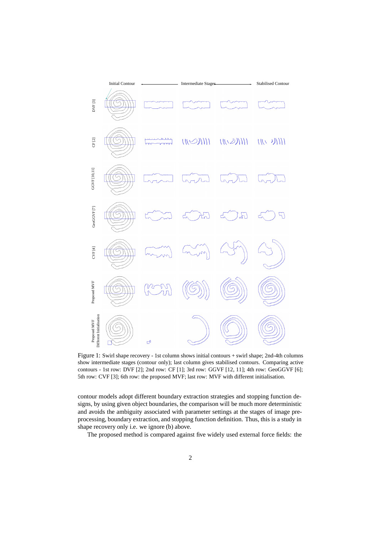

Figure 1: Swirl shape recovery - 1st column shows initial contours + swirl shape; 2nd-4th columns show intermediate stages (contour only); last column gives stabilised contours. Comparing active contours - 1st row: DVF [2]; 2nd row: CF [1]; 3rd row: GGVF [12, 11]; 4th row: GeoGGVF [6]; 5th row: CVF [3]; 6th row: the proposed MVF; last row: MVF with different initialisation.

contour models adopt different boundary extraction strategies and stopping function designs, by using given object boundaries, the comparison will be much more deterministic and avoids the ambiguity associated with parameter settings at the stages of image preprocessing, boundary extraction, and stopping function definition. Thus, this is a study in shape recovery only i.e. we ignore (b) above.

The proposed method is compared against five widely used external force fields: the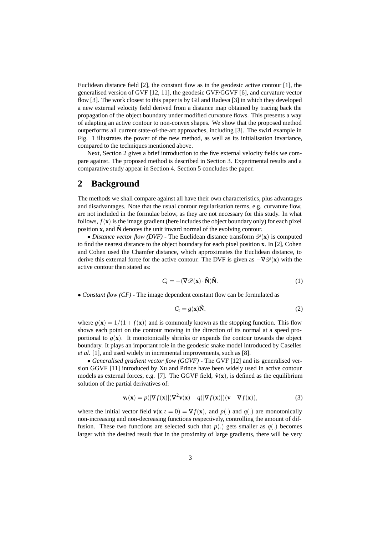Euclidean distance field  $[2]$ , the constant flow as in the geodesic active contour  $[1]$ , the generalised version of GVF [12, 11], the geodesic GVF/GGVF [6], and curvature vector flow [3]. The work closest to this paper is by Gil and Radeva [3] in which they developed a new external velocity field derived from a distance map obtained by tracing back the propagation of the object boundary under modified curvature flows. This presents a way of adapting an active contour to non-convex shapes. We show that the proposed method outperforms all current state-of-the-art approaches, including [3]. The swirl example in Fig. 1 illustrates the power of the new method, as well as its initialisation invariance, compared to the techniques mentioned above.

Next, Section 2 gives a brief introduction to the five external velocity fields we compare against. The proposed method is described in Section 3. Experimental results and a comparative study appear in Section 4. Section 5 concludes the paper.

# **2 Background**

The methods we shall compare against all have their own characteristics, plus advantages and disadvantages. Note that the usual contour regularisation terms, e.g. curvature flow, are not included in the formulae below, as they are not necessary for this study. In what follows,  $f(\mathbf{x})$  is the image gradient (here includes the object boundary only) for each pixel position **x**, and  $\hat{\mathbf{N}}$  denotes the unit inward normal of the evolving contour.

• *Distance vector flow (DVF)* - The Euclidean distance transform  $\mathscr{D}(\mathbf{x})$  is computed to find the nearest distance to the object boundary for each pixel position **x**. In [2], Cohen and Cohen used the Chamfer distance, which approximates the Euclidean distance, to derive this external force for the active contour. The DVF is given as  $-\nabla \mathscr{D}(\mathbf{x})$  with the active contour then stated as:

$$
C_t = -(\nabla \mathcal{D}(\mathbf{x}) \cdot \hat{\mathbf{N}}) \hat{\mathbf{N}}.
$$
 (1)

• *Constant flow (CF) -* The image dependent constant flow can be formulated as

$$
C_t = g(\mathbf{x})\hat{\mathbf{N}},\tag{2}
$$

where  $g(\mathbf{x}) = 1/(1 + f(\mathbf{x}))$  and is commonly known as the stopping function. This flow shows each point on the contour moving in the direction of its normal at a speed proportional to  $g(\mathbf{x})$ . It monotonically shrinks or expands the contour towards the object boundary. It plays an important role in the geodesic snake model introduced by Caselles *et al.* [1], and used widely in incremental improvements, such as [8].

• *Generalised gradient vector flow (GGVF) -* The GVF [12] and its generalised version GGVF [11] introduced by Xu and Prince have been widely used in active contour models as external forces, e.g. [7]. The GGVF field,  $\tilde{v}(x)$ , is defined as the equilibrium solution of the partial derivatives of:

$$
\mathbf{v}_t(\mathbf{x}) = p(|\nabla f(\mathbf{x})|) \nabla^2 \mathbf{v}(\mathbf{x}) - q(|\nabla f(\mathbf{x})|) (\mathbf{v} - \nabla f(\mathbf{x})),
$$
\n(3)

where the initial vector field  $\mathbf{v}(\mathbf{x}, t = 0) = \nabla f(\mathbf{x})$ , and  $p(.)$  and  $q(.)$  are monotonically non-increasing and non-decreasing functions respectively, controlling the amount of diffusion. These two functions are selected such that  $p(.)$  gets smaller as  $q(.)$  becomes larger with the desired result that in the proximity of large gradients, there will be very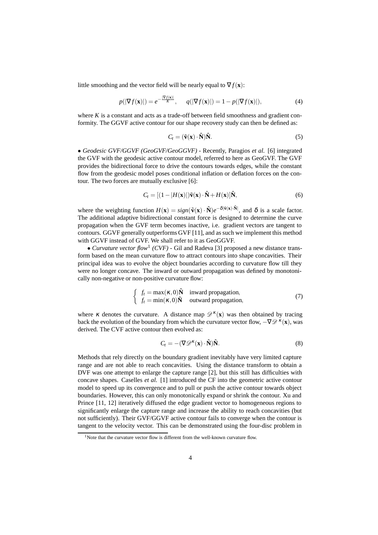little smoothing and the vector field will be nearly equal to  $\nabla f(\mathbf{x})$ :

$$
p(|\nabla f(\mathbf{x})|) = e^{-\frac{|\nabla f(\mathbf{x})|}{K}}, \quad q(|\nabla f(\mathbf{x})|) = 1 - p(|\nabla f(\mathbf{x})|), \tag{4}
$$

where  $K$  is a constant and acts as a trade-off between field smoothness and gradient conformity. The GGVF active contour for our shape recovery study can then be defined as:

$$
C_t = (\tilde{\mathbf{v}}(\mathbf{x}) \cdot \hat{\mathbf{N}}) \hat{\mathbf{N}}.
$$
 (5)

• *Geodesic GVF/GGVF (GeoGVF/GeoGGVF) -* Recently, Paragios *et al.* [6] integrated the GVF with the geodesic active contour model, referred to here as GeoGVF. The GVF provides the bidirectional force to drive the contours towards edges, while the constant flow from the geodesic model poses conditional inflation or deflation forces on the contour. The two forces are mutually exclusive [6]:

$$
C_t = [(1 - |H(\mathbf{x})|)\tilde{\mathbf{v}}(\mathbf{x}) \cdot \hat{\mathbf{N}} + H(\mathbf{x})]\hat{\mathbf{N}},
$$
\n(6)

where the weighting function  $H(\mathbf{x}) = sign(\tilde{\mathbf{v}}(\mathbf{x}) \cdot \hat{\mathbf{N}})e^{-\delta |\tilde{\mathbf{v}}(\mathbf{x}) \cdot \hat{\mathbf{N}}|}$ , and  $\delta$  is a scale factor. The additional adaptive bidirectional constant force is designed to determine the curve propagation when the GVF term becomes inactive, i.e. gradient vectors are tangent to contours. GGVF generally outperforms GVF [11], and as such we implement this method with GGVF instead of GVF. We shall refer to it as GeoGGVF.

• *Curvature vector flow*<sup>1</sup> *(CVF)* - Gil and Radeva [3] proposed a new distance transform based on the mean curvature flow to attract contours into shape concavities. Their principal idea was to evolve the object boundaries according to curvature flow till they were no longer concave. The inward or outward propagation was defined by monotonically non-negative or non-positive curvature flow:

$$
\begin{cases}\nf_t = \max(\kappa, 0)\hat{\mathbf{N}} & \text{inward propagation}, \\
f_t = \min(\kappa, 0)\hat{\mathbf{N}} & \text{outward propagation},\n\end{cases}
$$
\n(7)

where *κ* denotes the curvature. A distance map  $\mathscr{D}^{\kappa}(\mathbf{x})$  was then obtained by tracing back the evolution of the boundary from which the curvature vector flow,  $-\nabla \mathscr{D}^{\kappa}(\mathbf{x})$ , was derived. The CVF active contour then evolved as:

$$
C_t = -(\nabla \mathcal{D}^{\kappa}(\mathbf{x}) \cdot \hat{\mathbf{N}}) \hat{\mathbf{N}}.
$$
\n(8)

Methods that rely directly on the boundary gradient inevitably have very limited capture range and are not able to reach concavities. Using the distance transform to obtain a DVF was one attempt to enlarge the capture range [2], but this still has difficulties with concave shapes. Caselles *et al.* [1] introduced the CF into the geometric active contour model to speed up its convergence and to pull or push the active contour towards object boundaries. However, this can only monotonically expand or shrink the contour. Xu and Prince [11, 12] iteratively diffused the edge gradient vector to homogeneous regions to significantly enlarge the capture range and increase the ability to reach concavities (but not sufficiently). Their GVF/GGVF active contour fails to converge when the contour is tangent to the velocity vector. This can be demonstrated using the four-disc problem in

 $1$ Note that the curvature vector flow is different from the well-known curvature flow.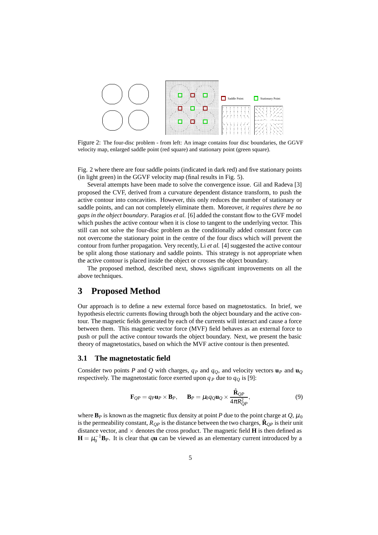

Figure 2: The four-disc problem - from left: An image contains four disc boundaries, the GGVF velocity map, enlarged saddle point (red square) and stationary point (green square).

Fig. 2 where there are four saddle points (indicated in dark red) and five stationary points (in light green) in the GGVF velocity map (final results in Fig. 5).

Several attempts have been made to solve the convergence issue. Gil and Radeva [3] proposed the CVF, derived from a curvature dependent distance transform, to push the active contour into concavities. However, this only reduces the number of stationary or saddle points, and can not completely eliminate them. Moreover, *it requires there be no gaps in the object boundary*. Paragios *et al.* [6] added the constant flow to the GVF model which pushes the active contour when it is close to tangent to the underlying vector. This still can not solve the four-disc problem as the conditionally added constant force can not overcome the stationary point in the centre of the four discs which will prevent the contour from further propagation. Very recently, Li *et al.* [4] suggested the active contour be split along those stationary and saddle points. This strategy is not appropriate when the active contour is placed inside the object or crosses the object boundary.

The proposed method, described next, shows significant improvements on all the above techniques.

# **3 Proposed Method**

Our approach is to define a new external force based on magnetostatics. In brief, we hypothesis electric currents flowing through both the object boundary and the active contour. The magnetic fields generated by each of the currents will interact and cause a force between them. This magnetic vector force (MVF) field behaves as an external force to push or pull the active contour towards the object boundary. Next, we present the basic theory of magnetostatics, based on which the MVF active contour is then presented.

#### **3.1 The magnetostatic field**

Consider two points *P* and *Q* with charges,  $q_P$  and  $q_O$ , and velocity vectors  $\mathbf{u}_P$  and  $\mathbf{u}_O$ respectively. The magnetostatic force exerted upon  $q_P$  due to  $q_Q$  is [9]:

$$
\mathbf{F}_{QP} = q_P \mathbf{u}_P \times \mathbf{B}_P, \qquad \mathbf{B}_P = \mu_0 q_Q \mathbf{u}_Q \times \frac{\hat{\mathbf{R}}_{QP}}{4\pi R_{QP}^2},\tag{9}
$$

where  $\mathbf{B}_P$  is known as the magnetic flux density at point *P* due to the point charge at *Q*,  $\mu_0$ is the permeability constant,  $R_{OP}$  is the distance between the two charges,  $\hat{\mathbf{R}}_{OP}$  is their unit distance vector, and  $\times$  denotes the cross product. The magnetic field **H** is then defined as  $\mathbf{H} = \mu_0^{-1} \mathbf{B}_P$ . It is clear that *q***u** can be viewed as an elementary current introduced by a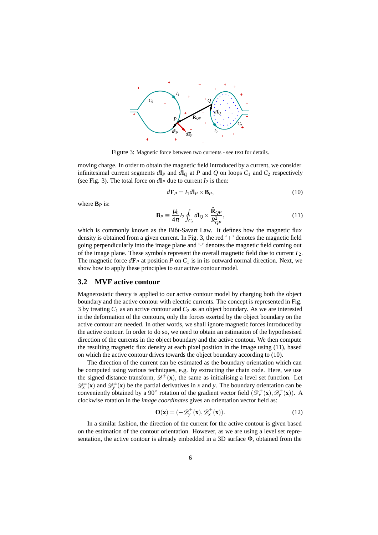

Figure 3: Magnetic force between two currents - see text for details.

moving charge. In order to obtain the magnetic field introduced by a current, we consider infinitesimal current segments  $d\mathbf{l}_P$  and  $d\mathbf{l}_Q$  at P and Q on loops  $C_1$  and  $C_2$  respectively (see Fig. 3). The total force on  $d\mathbf{l}_P$  due to current  $I_2$  is then:

$$
d\mathbf{F}_P = I_1 d\mathbf{l}_P \times \mathbf{B}_P,\tag{10}
$$

where  $\mathbf{B}_P$  is:

$$
\mathbf{B}_P \equiv \frac{\mu_0}{4\pi} I_2 \oint_{C_2} d\mathbf{l}_Q \times \frac{\hat{\mathbf{R}}_{QP}}{R_{QP}^2},\tag{11}
$$

which is commonly known as the Biôt-Savart Law. It defines how the magnetic flux density is obtained from a given current. In Fig. 3, the red  $+$  denotes the magnetic field going perpendicularly into the image plane and '·' denotes the magnetic field coming out of the image plane. These symbols represent the overall magnetic field due to current *I* 2. The magnetic force  $d\mathbf{F}_P$  at position P on  $C_1$  is in its outward normal direction. Next, we show how to apply these principles to our active contour model.

#### **3.2 MVF active contour**

Magnetostatic theory is applied to our active contour model by charging both the object boundary and the active contour with electric currents. The concept is represented in Fig. 3 by treating  $C_1$  as an active contour and  $C_2$  as an object boundary. As we are interested in the deformation of the contours, only the forces exerted by the object boundary on the active contour are needed. In other words, we shall ignore magnetic forces introduced by the active contour. In order to do so, we need to obtain an estimation of the hypothesised direction of the currents in the object boundary and the active contour. We then compute the resulting magnetic flux density at each pixel position in the image using (11), based on which the active contour drives towards the object boundary according to (10).

The direction of the current can be estimated as the boundary orientation which can be computed using various techniques, e.g. by extracting the chain code. Here, we use the signed distance transform,  $\mathscr{D}^{\pm}(\mathbf{x})$ , the same as initialising a level set function. Let  $\mathscr{D}_{x}^{\pm}(\mathbf{x})$  and  $\mathscr{D}_{y}^{\pm}(\mathbf{x})$  be the partial derivatives in *x* and *y*. The boundary orientation can be conveniently obtained by a 90° rotation of the gradient vector field  $(\mathscr{D}_{x}^{\pm}(\mathbf{x}), \mathscr{D}_{y}^{\pm}(\mathbf{x}))$ . A clockwise rotation in the *image coordinates* gives an orientation vector field as:

$$
\mathbf{O}(\mathbf{x}) = (-\mathscr{D}_{\mathbf{y}}^{\pm}(\mathbf{x}), \mathscr{D}_{\mathbf{x}}^{\pm}(\mathbf{x})).
$$
\n(12)

In a similar fashion, the direction of the current for the active contour is given based on the estimation of the contour orientation. However, as we are using a level set representation, the active contour is already embedded in a 3D surface Φ, obtained from the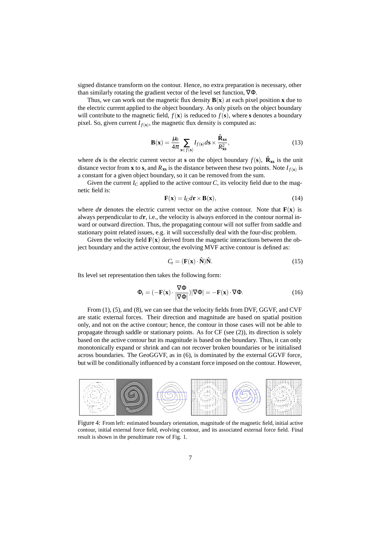signed distance transform on the contour. Hence, no extra preparation is necessary, other than similarly rotating the gradient vector of the level set function, ∇Φ.

Thus, we can work out the magnetic flux density  $B(x)$  at each pixel position **x** due to the electric current applied to the object boundary. As only pixels on the object boundary will contribute to the magnetic field,  $f(\mathbf{x})$  is reduced to  $f(\mathbf{s})$ , where **s** denotes a boundary pixel. So, given current  $I_{f(s)}$ , the magnetic flux density is computed as:

$$
\mathbf{B}(\mathbf{x}) = \frac{\mu_0}{4\pi} \sum_{\mathbf{s} \in f(\mathbf{s})} I_{f(\mathbf{s})} d\mathbf{s} \times \frac{\hat{\mathbf{R}}_{\mathbf{x}\mathbf{s}}}{R_{\mathbf{x}\mathbf{s}}^2},\tag{13}
$$

where *d***s** is the electric current vector at **s** on the object boundary  $f(\mathbf{s})$ ,  $\hat{\mathbf{R}}_{\mathbf{x}\mathbf{s}}$  is the unit distance vector from **x** to **s**, and  $R_{\text{xs}}$  is the distance between these two points. Note  $I_{f(s)}$  is a constant for a given object boundary, so it can be removed from the sum.

Given the current  $I_C$  applied to the active contour  $C$ , its velocity field due to the magnetic field is:

$$
\mathbf{F}(\mathbf{x}) = I_C d\mathbf{r} \times \mathbf{B}(\mathbf{x}),\tag{14}
$$

where  $d\mathbf{r}$  denotes the electric current vector on the active contour. Note that  $\mathbf{F}(\mathbf{x})$  is always perpendicular to *d***r**, i.e., the velocity is always enforced in the contour normal inward or outward direction. Thus, the propagating contour will not suffer from saddle and stationary point related issues, e.g. it will successfully deal with the four-disc problem.

Given the velocity field  $\mathbf{F}(\mathbf{x})$  derived from the magnetic interactions between the object boundary and the active contour, the evolving MVF active contour is defined as:

$$
C_t = (\mathbf{F}(\mathbf{x}) \cdot \hat{\mathbf{N}}) \hat{\mathbf{N}}. \tag{15}
$$

Its level set representation then takes the following form:

$$
\Phi_t = (-\mathbf{F}(\mathbf{x}) \cdot \frac{\nabla \Phi}{|\nabla \Phi|}) |\nabla \Phi| = -\mathbf{F}(\mathbf{x}) \cdot \nabla \Phi.
$$
 (16)

From (1), (5), and (8), we can see that the velocity fields from DVF, GGVF, and CVF are static external forces. Their direction and magnitude are based on spatial position only, and not on the active contour; hence, the contour in those cases will not be able to propagate through saddle or stationary points. As for CF (see (2)), its direction is solely based on the active contour but its magnitude is based on the boundary. Thus, it can only monotonically expand or shrink and can not recover broken boundaries or be initialised across boundaries. The GeoGGVF, as in (6), is dominated by the external GGVF force, but will be conditionally influenced by a constant force imposed on the contour. However,



Figure 4: From left: estimated boundary orientation, magnitude of the magnetic field, initial active contour, initial external force field, evolving contour, and its associated external force field. Final result is shown in the penultimate row of Fig. 1.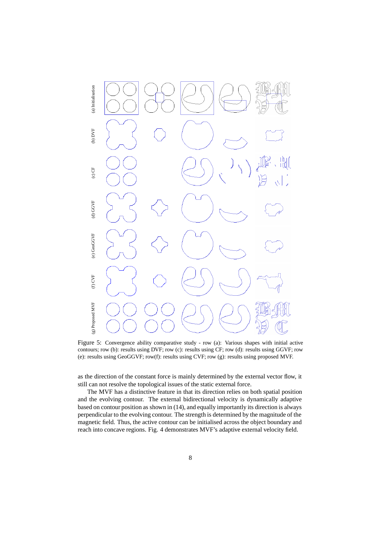

Figure 5: Convergence ability comparative study - row (a): Various shapes with initial active contours; row (b): results using DVF; row (c): results using CF; row (d): results using GGVF; row (e): results using GeoGGVF; row(f): results using CVF; row (g): results using proposed MVF.

as the direction of the constant force is mainly determined by the external vector flow, it still can not resolve the topological issues of the static external force.

The MVF has a distinctive feature in that its direction relies on both spatial position and the evolving contour. The external bidirectional velocity is dynamically adaptive based on contour position as shown in (14), and equally importantly its direction is always perpendicular to the evolving contour. The strength is determined by the magnitude of the magnetic field. Thus, the active contour can be initialised across the object boundary and reach into concave regions. Fig. 4 demonstrates MVF's adaptive external velocity field.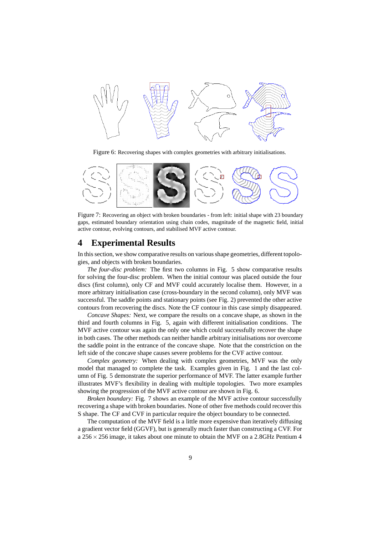

Figure 6: Recovering shapes with complex geometries with arbitrary initialisations.



Figure 7: Recovering an object with broken boundaries - from left: initial shape with 23 boundary gaps, estimated boundary orientation using chain codes, magnitude of the magnetic field, initial active contour, evolving contours, and stabilised MVF active contour.

### **4 Experimental Results**

In this section, we show comparative results on various shape geometries, different topologies, and objects with broken boundaries.

*The four-disc problem:* The first two columns in Fig. 5 show comparative results for solving the four-disc problem. When the initial contour was placed outside the four discs (first column), only CF and MVF could accurately localise them. However, in a more arbitrary initialisation case (cross-boundary in the second column), only MVF was successful. The saddle points and stationary points (see Fig. 2) prevented the other active contours from recovering the discs. Note the CF contour in this case simply disappeared.

*Concave Shapes:* Next, we compare the results on a concave shape, as shown in the third and fourth columns in Fig. 5, again with different initialisation conditions. The MVF active contour was again the only one which could successfully recover the shape in both cases. The other methods can neither handle arbitrary initialisations nor overcome the saddle point in the entrance of the concave shape. Note that the constriction on the left side of the concave shape causes severe problems for the CVF active contour.

*Complex geometry:* When dealing with complex geometries, MVF was the only model that managed to complete the task. Examples given in Fig. 1 and the last column of Fig. 5 demonstrate the superior performance of MVF. The latter example further illustrates MVF's flexibility in dealing with multiple topologies. Two more examples showing the progression of the MVF active contour are shown in Fig. 6.

*Broken boundary:* Fig. 7 shows an example of the MVF active contour successfully recovering a shape with broken boundaries. None of other five methods could recover this S shape. The CF and CVF in particular require the object boundary to be connected.

The computation of the MVF field is a little more expensive than iteratively diffusing a gradient vector field (GGVF), but is generally much faster than constructing a CVF. For a 256×256 image, it takes about one minute to obtain the MVF on a 2*.*8GHz Pentium 4